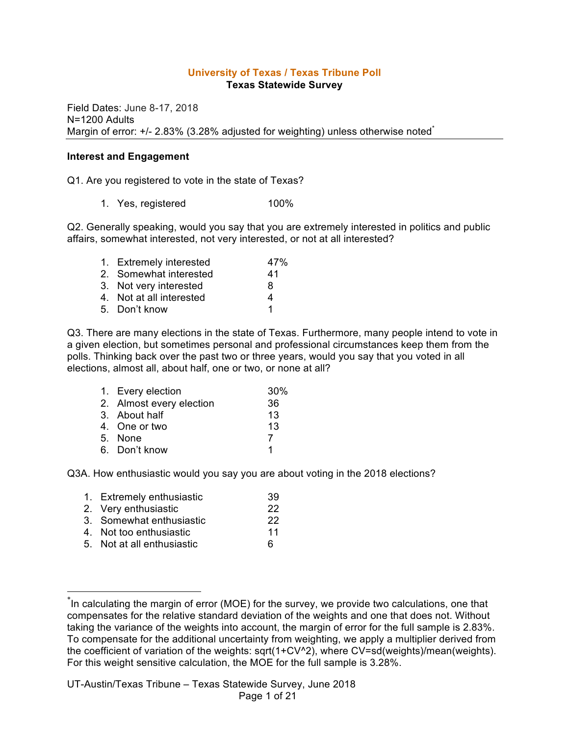### **University of Texas / Texas Tribune Poll Texas Statewide Survey**

Field Dates: June 8-17, 2018 N=1200 Adults Margin of error: +/- 2.83% (3.28% adjusted for weighting) unless otherwise noted<sup>\*</sup>

#### **Interest and Engagement**

Q1. Are you registered to vote in the state of Texas?

1. Yes, registered 100%

Q2. Generally speaking, would you say that you are extremely interested in politics and public affairs, somewhat interested, not very interested, or not at all interested?

| 1. Extremely interested  | 47% |
|--------------------------|-----|
| 2. Somewhat interested   | 41  |
| 3. Not very interested   | 8   |
| 4. Not at all interested | 4   |
| 5. Don't know            | 1   |

Q3. There are many elections in the state of Texas. Furthermore, many people intend to vote in a given election, but sometimes personal and professional circumstances keep them from the polls. Thinking back over the past two or three years, would you say that you voted in all elections, almost all, about half, one or two, or none at all?

| 1. Every election        | 30% |
|--------------------------|-----|
| 2. Almost every election | 36  |
| 3. About half            | 13  |
| 4. One or two            | 13  |
| 5. None                  | 7   |
| 6. Don't know            |     |

Q3A. How enthusiastic would you say you are about voting in the 2018 elections?

| 1. Extremely enthusiastic  | 39 |
|----------------------------|----|
| 2. Very enthusiastic       | 22 |
| 3. Somewhat enthusiastic   | 22 |
| 4. Not too enthusiastic    | 11 |
| 5. Not at all enthusiastic | 6  |
|                            |    |

 <sup>\*</sup> In calculating the margin of error (MOE) for the survey, we provide two calculations, one that compensates for the relative standard deviation of the weights and one that does not. Without taking the variance of the weights into account, the margin of error for the full sample is 2.83%. To compensate for the additional uncertainty from weighting, we apply a multiplier derived from the coefficient of variation of the weights: sqrt(1+CV^2), where CV=sd(weights)/mean(weights). For this weight sensitive calculation, the MOE for the full sample is 3.28%.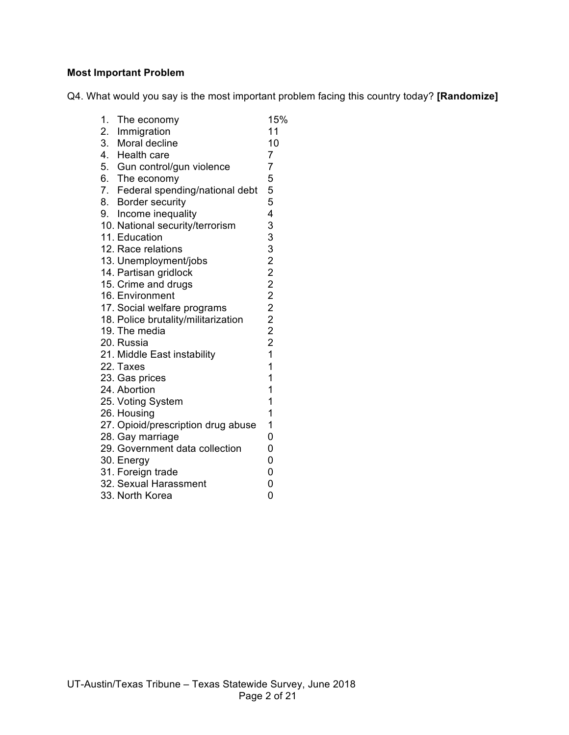# **Most Important Problem**

Q4. What would you say is the most important problem facing this country today? **[Randomize]**

| 1. The economy                      | 15%                     |
|-------------------------------------|-------------------------|
| 2. Immigration                      | 11                      |
| 3. Moral decline                    | 10                      |
| 4. Health care                      | $\overline{7}$          |
| 5. Gun control/gun violence         | 7                       |
| 6. The economy                      | 5                       |
| 7. Federal spending/national debt   | 5                       |
| 8. Border security                  | 5                       |
| 9. Income inequality                | 4                       |
| 10. National security/terrorism     | 33322222221             |
| 11. Education                       |                         |
| 12. Race relations                  |                         |
| 13. Unemployment/jobs               |                         |
| 14. Partisan gridlock               |                         |
| 15. Crime and drugs                 |                         |
| 16. Environment                     |                         |
| 17. Social welfare programs         |                         |
| 18. Police brutality/militarization |                         |
| 19. The media                       |                         |
| 20. Russia                          |                         |
| 21. Middle East instability         |                         |
| 22. Taxes                           | $\overline{\mathbf{1}}$ |
| 23. Gas prices                      | $\mathbf{1}$            |
| 24. Abortion                        | $\overline{1}$          |
| 25. Voting System                   | 1                       |
| 26. Housing                         | 1                       |
| 27. Opioid/prescription drug abuse  | 1                       |
| 28. Gay marriage                    | $\overline{0}$          |
| 29. Government data collection      | $\overline{0}$          |
| 30. Energy                          | $\overline{0}$          |
| 31. Foreign trade                   | $\overline{0}$          |
| 32. Sexual Harassment               | 0                       |
| 33. North Korea                     | 0                       |
|                                     |                         |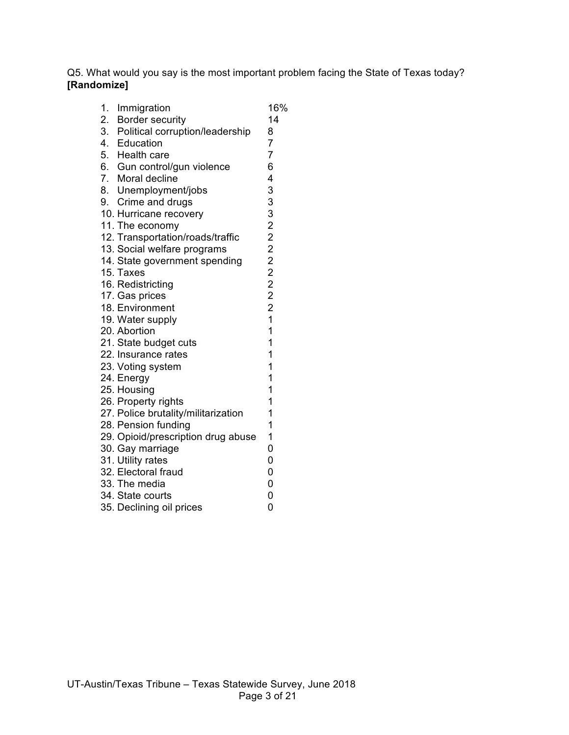Q5. What would you say is the most important problem facing the State of Texas today? **[Randomize]**

| 1. Immigration                                           | 16%                     |
|----------------------------------------------------------|-------------------------|
| 2. Border security<br>3. Political corruption/leadership | 14                      |
|                                                          | 8                       |
| 4. Education                                             | $\overline{7}$          |
| 5. Health care                                           | $\overline{7}$          |
| 6. Gun control/gun violence                              | 6                       |
| 7. Moral decline                                         | 4                       |
| 8. Unemployment/jobs                                     | 33322222221             |
| 9. Crime and drugs                                       |                         |
| 10. Hurricane recovery                                   |                         |
| 11. The economy                                          |                         |
| 12. Transportation/roads/traffic                         |                         |
| 13. Social welfare programs                              |                         |
| 14. State government spending                            |                         |
| 15. Taxes                                                |                         |
| 16. Redistricting                                        |                         |
| 17. Gas prices                                           |                         |
| 18. Environment                                          |                         |
| 19. Water supply                                         |                         |
| 20. Abortion                                             | $\overline{\mathbf{1}}$ |
| 21. State budget cuts                                    | 1                       |
| 22. Insurance rates                                      | 1                       |
| 23. Voting system                                        | 1                       |
| 24. Energy                                               | 1                       |
| 25. Housing                                              | 1                       |
| 26. Property rights                                      | 1                       |
| 27. Police brutality/militarization                      | 1                       |
| 28. Pension funding                                      | 1                       |
| 29. Opioid/prescription drug abuse                       | 1                       |
| 30. Gay marriage                                         | 0                       |
| 31. Utility rates                                        | 0                       |
| 32. Electoral fraud                                      | $\overline{0}$          |
| 33. The media                                            | $\overline{0}$          |
| 34. State courts                                         | 0                       |
| 35. Declining oil prices                                 | 0                       |
|                                                          |                         |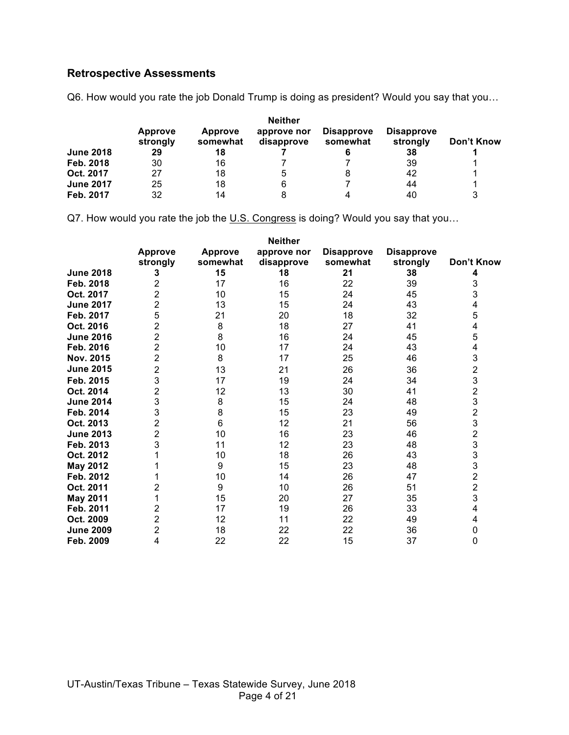# **Retrospective Assessments**

Q6. How would you rate the job Donald Trump is doing as president? Would you say that you…

|                  | <b>Neither</b>             |                     |                           |                               |                               |            |  |
|------------------|----------------------------|---------------------|---------------------------|-------------------------------|-------------------------------|------------|--|
|                  | <b>Approve</b><br>strongly | Approve<br>somewhat | approve nor<br>disapprove | <b>Disapprove</b><br>somewhat | <b>Disapprove</b><br>strongly | Don't Know |  |
| <b>June 2018</b> | 29                         | 18                  |                           |                               | 38                            |            |  |
| Feb. 2018        | 30                         | 16                  |                           |                               | 39                            |            |  |
| Oct. 2017        | 27                         | 18                  |                           | 8                             | 42                            |            |  |
| <b>June 2017</b> | 25                         | 18                  |                           |                               | 44                            |            |  |
| Feb. 2017        | 32                         | 14                  |                           | 4                             | 40                            | 3          |  |

Q7. How would you rate the job the U.S. Congress is doing? Would you say that you...

|                  | <b>Neither</b>             |                            |                           |                               |                               |                |  |  |
|------------------|----------------------------|----------------------------|---------------------------|-------------------------------|-------------------------------|----------------|--|--|
|                  | <b>Approve</b><br>strongly | <b>Approve</b><br>somewhat | approve nor<br>disapprove | <b>Disapprove</b><br>somewhat | <b>Disapprove</b><br>strongly | Don't Know     |  |  |
| <b>June 2018</b> | 3                          | 15                         | 18                        | 21                            | 38                            | 4              |  |  |
| Feb. 2018        | 2                          | 17                         | 16                        | 22                            | 39                            | 3              |  |  |
| Oct. 2017        | $\overline{2}$             | 10                         | 15                        | 24                            | 45                            | 3              |  |  |
| <b>June 2017</b> | 2                          | 13                         | 15                        | 24                            | 43                            | 4              |  |  |
| Feb. 2017        | 5                          | 21                         | 20                        | 18                            | 32                            | 5              |  |  |
| Oct. 2016        | 2                          | 8                          | 18                        | 27                            | 41                            | 4              |  |  |
| <b>June 2016</b> | 2                          | 8                          | 16                        | 24                            | 45                            | 5              |  |  |
| Feb. 2016        | $\overline{2}$             | 10                         | 17                        | 24                            | 43                            | 4              |  |  |
| Nov. 2015        | 2                          | 8                          | 17                        | 25                            | 46                            | 3              |  |  |
| <b>June 2015</b> | 2                          | 13                         | 21                        | 26                            | 36                            |                |  |  |
| Feb. 2015        | 3                          | 17                         | 19                        | 24                            | 34                            | 2<br>3         |  |  |
| Oct. 2014        | 2                          | 12                         | 13                        | 30                            | 41                            | $\overline{2}$ |  |  |
| <b>June 2014</b> | 3                          | 8                          | 15                        | 24                            | 48                            | 3              |  |  |
| Feb. 2014        | 3                          | 8                          | 15                        | 23                            | 49                            | $\overline{c}$ |  |  |
| Oct. 2013        | 2                          | 6                          | 12                        | 21                            | 56                            | 3              |  |  |
| <b>June 2013</b> | 2                          | 10                         | 16                        | 23                            | 46                            | $\overline{c}$ |  |  |
| Feb. 2013        | 3                          | 11                         | 12                        | 23                            | 48                            | 3              |  |  |
| Oct. 2012        |                            | 10                         | 18                        | 26                            | 43                            | 3              |  |  |
| <b>May 2012</b>  |                            | 9                          | 15                        | 23                            | 48                            | 3              |  |  |
| Feb. 2012        |                            | 10                         | 14                        | 26                            | 47                            | $\overline{2}$ |  |  |
| Oct. 2011        | 2                          | 9                          | 10                        | 26                            | 51                            | $\overline{2}$ |  |  |
| <b>May 2011</b>  |                            | 15                         | 20                        | 27                            | 35                            | 3              |  |  |
| Feb. 2011        | 2                          | 17                         | 19                        | 26                            | 33                            | 4              |  |  |
| Oct. 2009        | 2                          | 12                         | 11                        | 22                            | 49                            | 4              |  |  |
| <b>June 2009</b> | 2                          | 18                         | 22                        | 22                            | 36                            | 0              |  |  |
| Feb. 2009        | 4                          | 22                         | 22                        | 15                            | 37                            | 0              |  |  |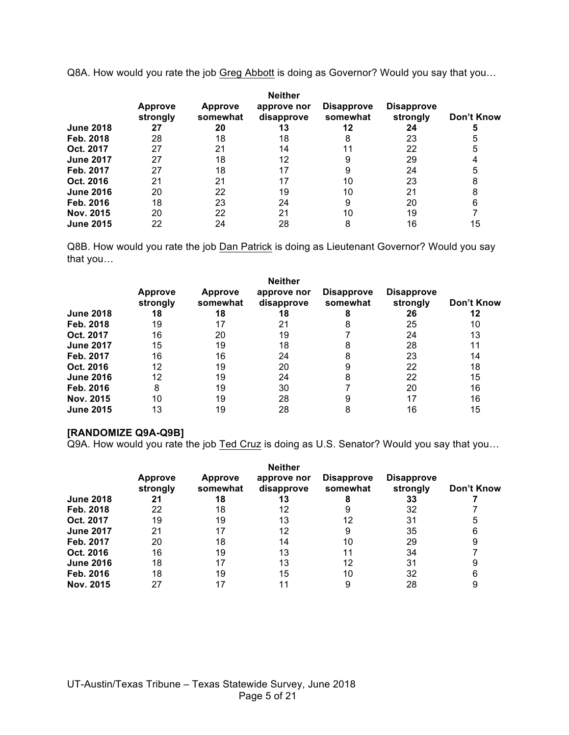Q8A. How would you rate the job Greg Abbott is doing as Governor? Would you say that you...

|                  | <b>Approve</b><br>strongly | <b>Approve</b><br>somewhat | <b>Neither</b><br>approve nor<br>disapprove | <b>Disapprove</b><br>somewhat | <b>Disapprove</b><br>strongly | Don't Know |
|------------------|----------------------------|----------------------------|---------------------------------------------|-------------------------------|-------------------------------|------------|
| <b>June 2018</b> | 27                         | 20                         | 13                                          | 12                            | 24                            | 5          |
| Feb. 2018        | 28                         | 18                         | 18                                          | 8                             | 23                            | 5          |
| Oct. 2017        | 27                         | 21                         | 14                                          |                               | 22                            | 5          |
| <b>June 2017</b> | 27                         | 18                         | 12                                          | 9                             | 29                            |            |
| Feb. 2017        | 27                         | 18                         | 17                                          |                               | 24                            | 5          |
| Oct. 2016        | 21                         | 21                         | 17                                          | 10                            | 23                            | 8          |
| <b>June 2016</b> | 20                         | 22                         | 19                                          | 10                            | 21                            | 8          |
| Feb. 2016        | 18                         | 23                         | 24                                          | 9                             | 20                            | 6          |
| Nov. 2015        | 20                         | 22                         | 21                                          | 10                            | 19                            |            |
| <b>June 2015</b> | 22                         | 24                         | 28                                          | 8                             | 16                            | 15         |

Q8B. How would you rate the job Dan Patrick is doing as Lieutenant Governor? Would you say that you…

|                  |                            |                            | <b>Neither</b>            |                               |                               |            |
|------------------|----------------------------|----------------------------|---------------------------|-------------------------------|-------------------------------|------------|
|                  | <b>Approve</b><br>strongly | <b>Approve</b><br>somewhat | approve nor<br>disapprove | <b>Disapprove</b><br>somewhat | <b>Disapprove</b><br>strongly | Don't Know |
| <b>June 2018</b> | 18                         | 18                         | 18                        |                               | 26                            | 12         |
| Feb. 2018        | 19                         | 17                         | 21                        |                               | 25                            | 10         |
| Oct. 2017        | 16                         | 20                         | 19                        |                               | 24                            | 13         |
| <b>June 2017</b> | 15                         | 19                         | 18                        |                               | 28                            | 11         |
| Feb. 2017        | 16                         | 16                         | 24                        | 8                             | 23                            | 14         |
| Oct. 2016        | 12                         | 19                         | 20                        |                               | 22                            | 18         |
| <b>June 2016</b> | 12                         | 19                         | 24                        | 8                             | 22                            | 15         |
| Feb. 2016        | 8                          | 19                         | 30                        |                               | 20                            | 16         |
| Nov. 2015        | 10                         | 19                         | 28                        |                               | 17                            | 16         |
| <b>June 2015</b> | 13                         | 19                         | 28                        |                               | 16                            | 15         |

#### **[RANDOMIZE Q9A-Q9B]**

Q9A. How would you rate the job Ted Cruz is doing as U.S. Senator? Would you say that you…

|                  | <b>Neither</b>             |                            |                           |                               |                               |            |  |
|------------------|----------------------------|----------------------------|---------------------------|-------------------------------|-------------------------------|------------|--|
|                  | <b>Approve</b><br>strongly | <b>Approve</b><br>somewhat | approve nor<br>disapprove | <b>Disapprove</b><br>somewhat | <b>Disapprove</b><br>strongly | Don't Know |  |
| <b>June 2018</b> | 21                         | 18                         | 13                        |                               | 33                            |            |  |
| Feb. 2018        | 22                         | 18                         | 12                        |                               | 32                            |            |  |
| Oct. 2017        | 19                         | 19                         | 13                        | 12                            | 31                            | 5          |  |
| <b>June 2017</b> | 21                         | 17                         | 12                        | 9                             | 35                            | 6          |  |
| Feb. 2017        | 20                         | 18                         | 14                        | 10                            | 29                            | 9          |  |
| Oct. 2016        | 16                         | 19                         | 13                        | 11                            | 34                            |            |  |
| <b>June 2016</b> | 18                         | 17                         | 13                        | 12                            | 31                            | 9          |  |
| Feb. 2016        | 18                         | 19                         | 15                        | 10                            | 32                            | 6          |  |
| Nov. 2015        | 27                         | 17                         |                           | 9                             | 28                            | 9          |  |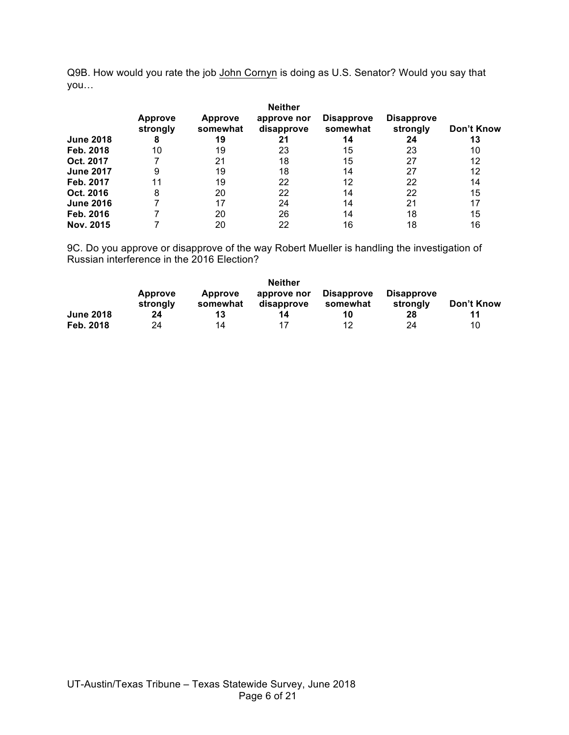Q9B. How would you rate the job John Cornyn is doing as U.S. Senator? Would you say that you…

| <b>June 2018</b> | <b>Approve</b><br>strongly<br>8 | <b>Approve</b><br>somewhat<br>19 | <b>Neither</b><br>approve nor<br>disapprove<br>21 | <b>Disapprove</b><br>somewhat<br>14 | <b>Disapprove</b><br>strongly<br>24 | Don't Know<br>13 |
|------------------|---------------------------------|----------------------------------|---------------------------------------------------|-------------------------------------|-------------------------------------|------------------|
| Feb. 2018        | 10                              | 19                               | 23                                                | 15                                  | 23                                  | 10               |
| Oct. 2017        |                                 | 21                               | 18                                                | 15                                  | 27                                  | 12               |
| <b>June 2017</b> | 9                               | 19                               | 18                                                | 14                                  | 27                                  | 12               |
| Feb. 2017        | 11                              | 19                               | 22                                                | 12                                  | 22                                  | 14               |
| Oct. 2016        | 8                               | 20                               | 22                                                | 14                                  | 22                                  | 15               |
| <b>June 2016</b> |                                 | 17                               | 24                                                | 14                                  | 21                                  | 17               |
| Feb. 2016        |                                 | 20                               | 26                                                | 14                                  | 18                                  | 15               |
| Nov. 2015        |                                 | 20                               | 22                                                | 16                                  | 18                                  | 16               |

9C. Do you approve or disapprove of the way Robert Mueller is handling the investigation of Russian interference in the 2016 Election?

|                  | <b>Neither</b>             |                            |                           |                               |                               |            |  |  |
|------------------|----------------------------|----------------------------|---------------------------|-------------------------------|-------------------------------|------------|--|--|
|                  | <b>Approve</b><br>strongly | <b>Approve</b><br>somewhat | approve nor<br>disapprove | <b>Disapprove</b><br>somewhat | <b>Disapprove</b><br>strongly | Don't Know |  |  |
| <b>June 2018</b> | 24                         | 13                         | 14                        | 10                            | 28                            | 11         |  |  |
| Feb. 2018        | 24                         | 14                         | 17                        | 12                            | 24                            | 10         |  |  |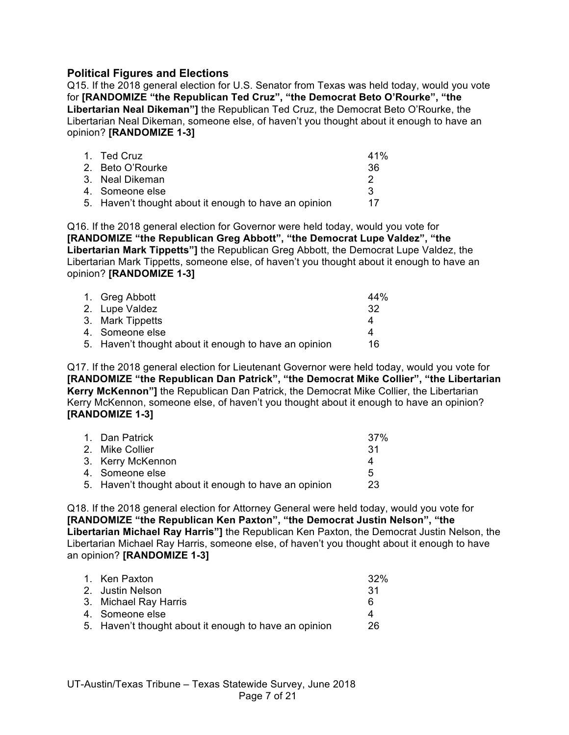# **Political Figures and Elections**

Q15. If the 2018 general election for U.S. Senator from Texas was held today, would you vote for **[RANDOMIZE "the Republican Ted Cruz", "the Democrat Beto O'Rourke", "the Libertarian Neal Dikeman"]** the Republican Ted Cruz, the Democrat Beto O'Rourke, the Libertarian Neal Dikeman, someone else, of haven't you thought about it enough to have an opinion? **[RANDOMIZE 1-3]**

| 1. Ted Cruz                                           | 41% |
|-------------------------------------------------------|-----|
| 2. Beto O'Rourke                                      | 36  |
| 3. Neal Dikeman                                       |     |
| 4. Someone else                                       | ્વ  |
| 5. Haven't thought about it enough to have an opinion | 17  |

Q16. If the 2018 general election for Governor were held today, would you vote for **[RANDOMIZE "the Republican Greg Abbott", "the Democrat Lupe Valdez", "the Libertarian Mark Tippetts"]** the Republican Greg Abbott, the Democrat Lupe Valdez, the Libertarian Mark Tippetts, someone else, of haven't you thought about it enough to have an opinion? **[RANDOMIZE 1-3]**

| 1. Greg Abbott                                        | 44% |
|-------------------------------------------------------|-----|
| 2. Lupe Valdez                                        | -32 |
| 3. Mark Tippetts                                      | Δ   |
| 4. Someone else                                       |     |
| 5. Haven't thought about it enough to have an opinion | 16  |

Q17. If the 2018 general election for Lieutenant Governor were held today, would you vote for **[RANDOMIZE "the Republican Dan Patrick", "the Democrat Mike Collier", "the Libertarian Kerry McKennon"]** the Republican Dan Patrick, the Democrat Mike Collier, the Libertarian Kerry McKennon, someone else, of haven't you thought about it enough to have an opinion? **[RANDOMIZE 1-3]**

| 1. Dan Patrick                                        | 37% |
|-------------------------------------------------------|-----|
| 2. Mike Collier                                       | -31 |
| 3. Kerry McKennon                                     | Δ   |
| 4. Someone else                                       | 5   |
| 5. Haven't thought about it enough to have an opinion | 23  |
|                                                       |     |

Q18. If the 2018 general election for Attorney General were held today, would you vote for **[RANDOMIZE "the Republican Ken Paxton", "the Democrat Justin Nelson", "the Libertarian Michael Ray Harris"]** the Republican Ken Paxton, the Democrat Justin Nelson, the Libertarian Michael Ray Harris, someone else, of haven't you thought about it enough to have an opinion? **[RANDOMIZE 1-3]**

| 1. Ken Paxton                                         | 32% |
|-------------------------------------------------------|-----|
| 2. Justin Nelson                                      | -31 |
| 3. Michael Ray Harris                                 | 6   |
| 4. Someone else                                       | 4   |
| 5. Haven't thought about it enough to have an opinion | 26  |
|                                                       |     |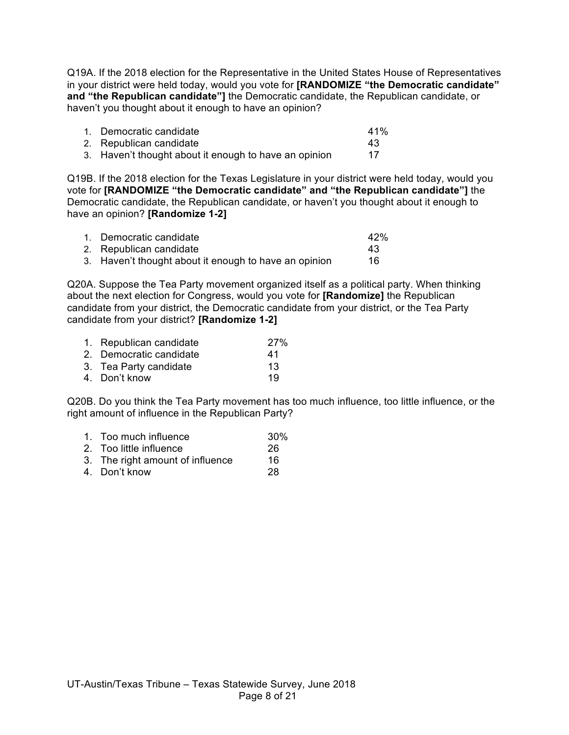Q19A. If the 2018 election for the Representative in the United States House of Representatives in your district were held today, would you vote for **[RANDOMIZE "the Democratic candidate" and "the Republican candidate"]** the Democratic candidate, the Republican candidate, or haven't you thought about it enough to have an opinion?

| 1. Democratic candidate                               | 41% |
|-------------------------------------------------------|-----|
| 2. Republican candidate                               | 43  |
| 3. Haven't thought about it enough to have an opinion |     |

Q19B. If the 2018 election for the Texas Legislature in your district were held today, would you vote for **[RANDOMIZE "the Democratic candidate" and "the Republican candidate"]** the Democratic candidate, the Republican candidate, or haven't you thought about it enough to have an opinion? **[Randomize 1-2]**

| 1. Democratic candidate                               | 42% |
|-------------------------------------------------------|-----|
| 2. Republican candidate                               | 43  |
| 3. Haven't thought about it enough to have an opinion | 16  |

Q20A. Suppose the Tea Party movement organized itself as a political party. When thinking about the next election for Congress, would you vote for **[Randomize]** the Republican candidate from your district, the Democratic candidate from your district, or the Tea Party candidate from your district? **[Randomize 1-2]**

| 1. Republican candidate | <b>27%</b> |
|-------------------------|------------|
| 2. Democratic candidate | 41         |
| 3. Tea Party candidate  | 13         |
| 4. Don't know           | 19         |

Q20B. Do you think the Tea Party movement has too much influence, too little influence, or the right amount of influence in the Republican Party?

- 1. Too much influence 30%
- 2. Too little influence 26
- 3. The right amount of influence 16
- 4. Don't know 28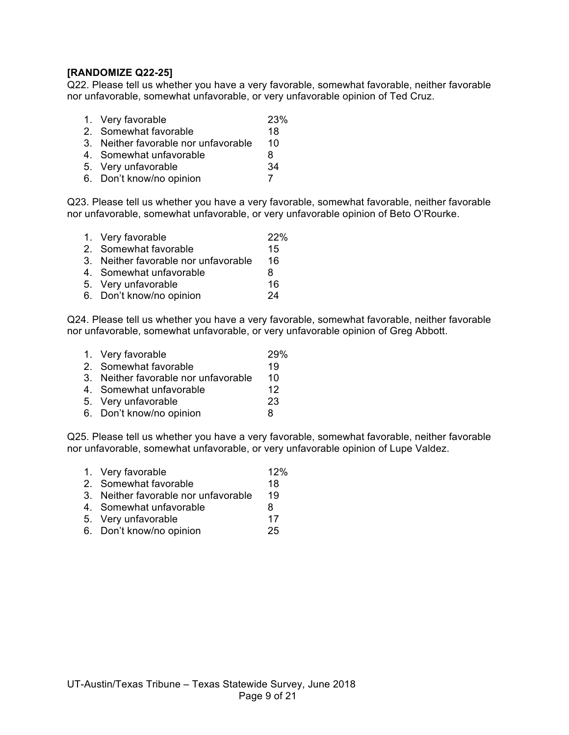## **[RANDOMIZE Q22-25]**

Q22. Please tell us whether you have a very favorable, somewhat favorable, neither favorable nor unfavorable, somewhat unfavorable, or very unfavorable opinion of Ted Cruz.

- 1. Very favorable 23%
- 2. Somewhat favorable 18
- 3. Neither favorable nor unfavorable 10
- 4. Somewhat unfavorable 8
- 5. Very unfavorable 34
- 6. Don't know/no opinion 7

Q23. Please tell us whether you have a very favorable, somewhat favorable, neither favorable nor unfavorable, somewhat unfavorable, or very unfavorable opinion of Beto O'Rourke.

1. Very favorable 22% 2. Somewhat favorable 15 3. Neither favorable nor unfavorable 16 4. Somewhat unfavorable 8 5. Very unfavorable 16 6. Don't know/no opinion 24

Q24. Please tell us whether you have a very favorable, somewhat favorable, neither favorable nor unfavorable, somewhat unfavorable, or very unfavorable opinion of Greg Abbott.

- 1. Very favorable 29%
- 2. Somewhat favorable 19
- 3. Neither favorable nor unfavorable 10
- 4. Somewhat unfavorable 12
- 5. Very unfavorable 23
- 6. Don't know/no opinion 8

Q25. Please tell us whether you have a very favorable, somewhat favorable, neither favorable nor unfavorable, somewhat unfavorable, or very unfavorable opinion of Lupe Valdez.

- 1. Very favorable 12% 2. Somewhat favorable 18 3. Neither favorable nor unfavorable 19
- 4. Somewhat unfavorable and the 8
- 5. Very unfavorable 17
- 6. Don't know/no opinion 25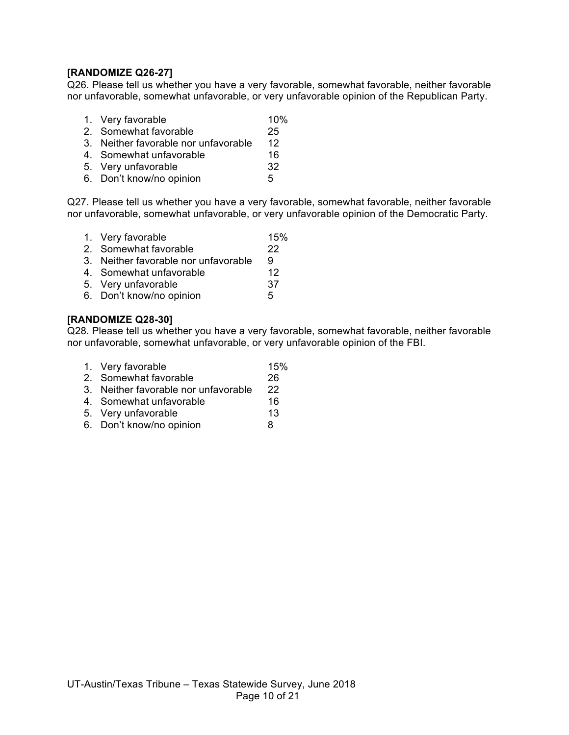# **[RANDOMIZE Q26-27]**

Q26. Please tell us whether you have a very favorable, somewhat favorable, neither favorable nor unfavorable, somewhat unfavorable, or very unfavorable opinion of the Republican Party.

- 1. Very favorable 10%
- 2. Somewhat favorable 25
- 3. Neither favorable nor unfavorable 12
- 4. Somewhat unfavorable 16
- 5. Very unfavorable 32
- 6. Don't know/no opinion 5

Q27. Please tell us whether you have a very favorable, somewhat favorable, neither favorable nor unfavorable, somewhat unfavorable, or very unfavorable opinion of the Democratic Party.

- 1. Very favorable 15%
- 2. Somewhat favorable 22
- 3. Neither favorable nor unfavorable 9
- 4. Somewhat unfavorable 12<br>5 Very unfavorable 137
- 5. Very unfavorable
- 6. Don't know/no opinion 5

#### **[RANDOMIZE Q28-30]**

Q28. Please tell us whether you have a very favorable, somewhat favorable, neither favorable nor unfavorable, somewhat unfavorable, or very unfavorable opinion of the FBI.

| 1. Very favorable                    | 15% |
|--------------------------------------|-----|
| 2. Somewhat favorable                | 26  |
| 3. Neither favorable nor unfavorable | 22  |
| 4. Somewhat unfavorable              | 16  |
| 5. Very unfavorable                  | 13  |
| 6. Don't know/no opinion             | 8   |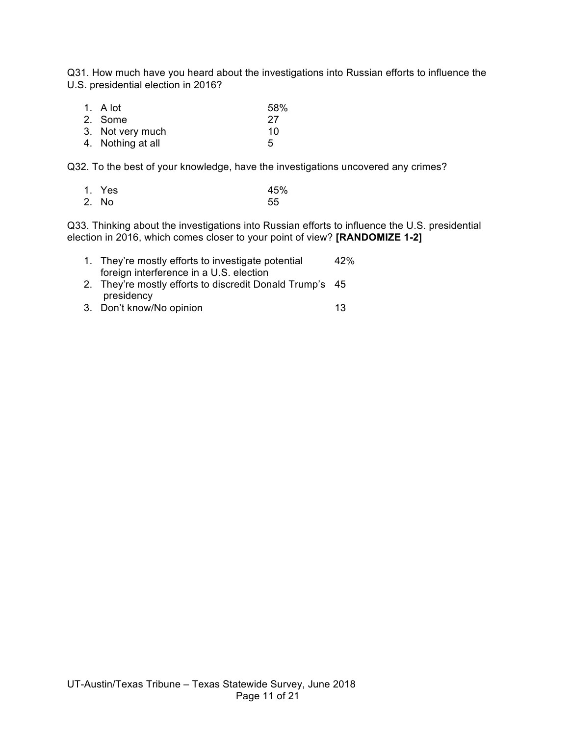Q31. How much have you heard about the investigations into Russian efforts to influence the U.S. presidential election in 2016?

| 1. A lot          | 58% |
|-------------------|-----|
| 2. Some           | 27  |
| 3. Not very much  | 10  |
| 4. Nothing at all | 5   |

Q32. To the best of your knowledge, have the investigations uncovered any crimes?

| 1. Yes | 45% |
|--------|-----|
| 2. No  | 55  |

Q33. Thinking about the investigations into Russian efforts to influence the U.S. presidential election in 2016, which comes closer to your point of view? **[RANDOMIZE 1-2]**

| 1. They're mostly efforts to investigate potential       | 42% |
|----------------------------------------------------------|-----|
| foreign interference in a U.S. election                  |     |
| 2. They're mostly efforts to discredit Donald Trump's 45 |     |
| presidency                                               |     |

3. Don't know/No opinion 13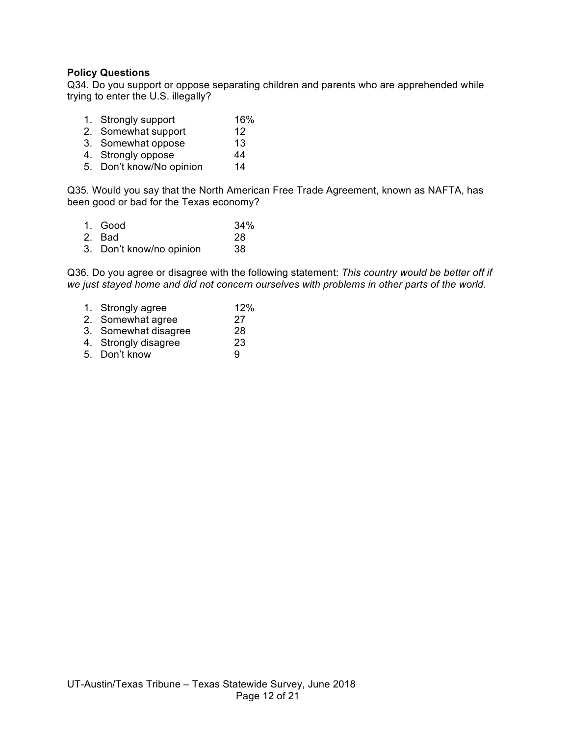## **Policy Questions**

Q34. Do you support or oppose separating children and parents who are apprehended while trying to enter the U.S. illegally?

- 1. Strongly support 16%
- 2. Somewhat support 12
- 3. Somewhat oppose 13
- 4. Strongly oppose 44
- 5. Don't know/No opinion 14

Q35. Would you say that the North American Free Trade Agreement, known as NAFTA, has been good or bad for the Texas economy?

| 1. Good                  | 34% |
|--------------------------|-----|
| 2. Bad                   | 28  |
| 3. Don't know/no opinion | 38  |

Q36. Do you agree or disagree with the following statement: *This country would be better off if we just stayed home and did not concern ourselves with problems in other parts of the world.*

| 1. Strongly agree    | 12% |
|----------------------|-----|
| 2. Somewhat agree    | 27  |
| 3. Somewhat disagree | 28  |
| 4. Strongly disagree | 23  |
| 5. Don't know        | 9   |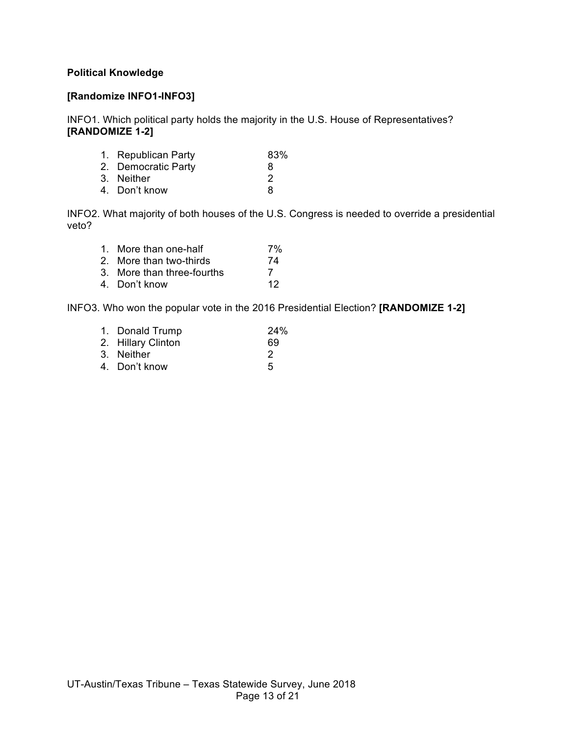## **Political Knowledge**

## **[Randomize INFO1-INFO3]**

INFO1. Which political party holds the majority in the U.S. House of Representatives? **[RANDOMIZE 1-2]**

| 8             |
|---------------|
| $\mathcal{P}$ |
| 8             |
|               |

INFO2. What majority of both houses of the U.S. Congress is needed to override a presidential veto?

| 1. More than one-half      | 7% |
|----------------------------|----|
| 2. More than two-thirds    | 74 |
| 3. More than three-fourths | 7  |
| 4. Don't know              | 12 |

INFO3. Who won the popular vote in the 2016 Presidential Election? **[RANDOMIZE 1-2]**

| 1. Donald Trump    | 24% |
|--------------------|-----|
| 2. Hillary Clinton | 69  |
| 3. Neither         | 2   |
| 4. Don't know      | 5   |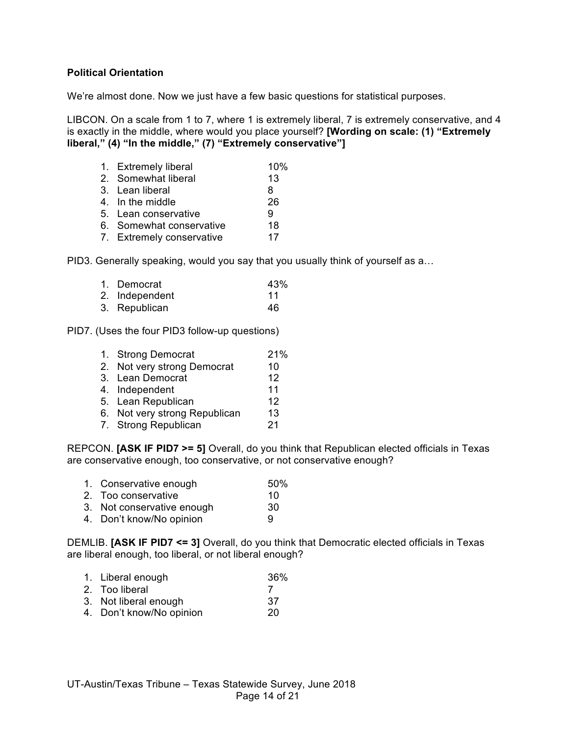### **Political Orientation**

We're almost done. Now we just have a few basic questions for statistical purposes.

LIBCON. On a scale from 1 to 7, where 1 is extremely liberal, 7 is extremely conservative, and 4 is exactly in the middle, where would you place yourself? **[Wording on scale: (1) "Extremely liberal," (4) "In the middle," (7) "Extremely conservative"]**

| 1. Extremely liberal      | 10% |
|---------------------------|-----|
| 2. Somewhat liberal       | 13  |
| 3. Lean liberal           | 8   |
| 4. In the middle          | 26  |
| 5. Lean conservative      | 9   |
| 6. Somewhat conservative  | 18  |
| 7. Extremely conservative | 17  |
|                           |     |

PID3. Generally speaking, would you say that you usually think of yourself as a…

| 1. Democrat    | 43% |
|----------------|-----|
| 2. Independent | 11  |
| 3. Republican  | 46  |

PID7. (Uses the four PID3 follow-up questions)

| 1. Strong Democrat            | 21% |
|-------------------------------|-----|
| 2. Not very strong Democrat   | 10  |
| 3. Lean Democrat              | 12  |
| 4. Independent                | 11  |
| 5. Lean Republican            | 12  |
| 6. Not very strong Republican | 13  |
| 7. Strong Republican          | 21  |
|                               |     |

REPCON. **[ASK IF PID7 >= 5]** Overall, do you think that Republican elected officials in Texas are conservative enough, too conservative, or not conservative enough?

- 1. Conservative enough 50%
- 2. Too conservative 10
- 3. Not conservative enough 30
- 4. Don't know/No opinion 9

DEMLIB. **[ASK IF PID7 <= 3]** Overall, do you think that Democratic elected officials in Texas are liberal enough, too liberal, or not liberal enough?

- 1. Liberal enough 36%
- 2. Too liberal 7
- 3. Not liberal enough 37
- 4. Don't know/No opinion 20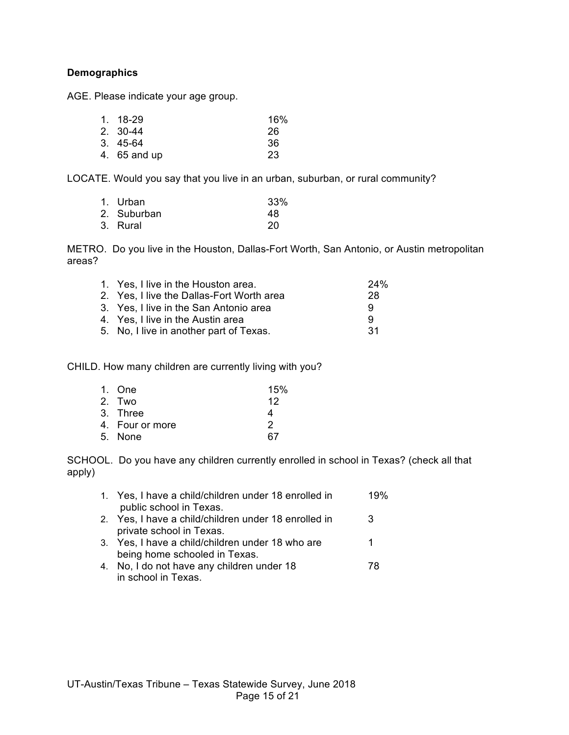## **Demographics**

AGE. Please indicate your age group.

| 1. 18-29     | 16% |
|--------------|-----|
| 2. 30-44     | 26  |
| 3.45-64      | -36 |
| 4. 65 and up | 23  |

LOCATE. Would you say that you live in an urban, suburban, or rural community?

| 1. Urban    | 33% |
|-------------|-----|
| 2. Suburban | 48  |
| 3. Rural    | 20  |

METRO. Do you live in the Houston, Dallas-Fort Worth, San Antonio, or Austin metropolitan areas?

| 28  |
|-----|
| 9   |
| 9   |
| -31 |
|     |

CHILD. How many children are currently living with you?

| 1. One          | 15% |
|-----------------|-----|
| 2. Two          | 12  |
| 3. Three        | 4   |
| 4. Four or more | 2   |
| 5. None         | 67  |

SCHOOL. Do you have any children currently enrolled in school in Texas? (check all that apply)

| 1. Yes, I have a child/children under 18 enrolled in | 19% |
|------------------------------------------------------|-----|
| public school in Texas.                              |     |
| 2. Yes, I have a child/children under 18 enrolled in | 3   |
| private school in Texas.                             |     |
| 3. Yes, I have a child/children under 18 who are     |     |
| being home schooled in Texas.                        |     |
| 4. No, I do not have any children under 18           | 78  |
| in school in Texas.                                  |     |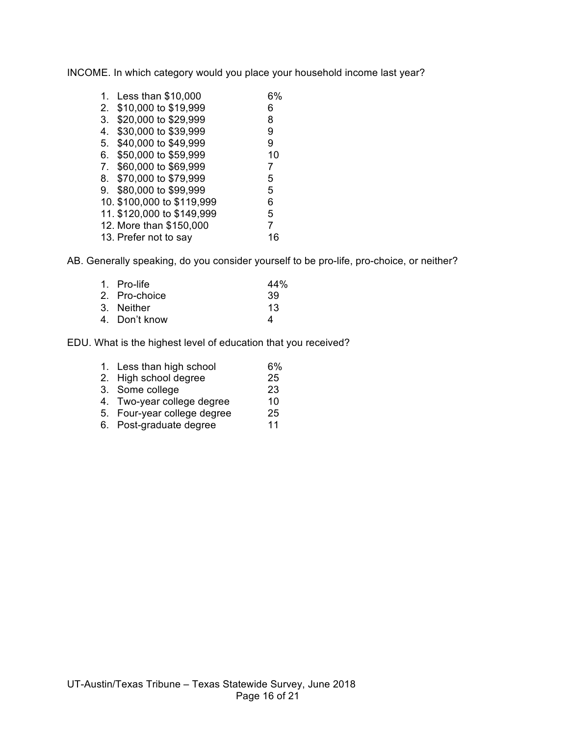INCOME. In which category would you place your household income last year?

| 1.             | Less than \$10,000         | 6% |
|----------------|----------------------------|----|
| 2.             | \$10,000 to \$19,999       | 6  |
| 3.             | \$20,000 to \$29,999       | 8  |
| 4.             | \$30,000 to \$39,999       | 9  |
| 5.             | \$40,000 to \$49,999       | 9  |
| 6.             | \$50,000 to \$59,999       | 10 |
| 7 <sub>1</sub> | \$60,000 to \$69,999       | 7  |
| 8.             | \$70,000 to \$79,999       | 5  |
| 9.             | \$80,000 to \$99,999       | 5  |
|                | 10. \$100,000 to \$119,999 | 6  |
|                | 11. \$120,000 to \$149,999 | 5  |
|                | 12. More than \$150,000    | 7  |
|                | 13. Prefer not to say      | 16 |

AB. Generally speaking, do you consider yourself to be pro-life, pro-choice, or neither?

| 44%                                                         |
|-------------------------------------------------------------|
| 39                                                          |
| 13                                                          |
| Δ                                                           |
| 1. Pro-life<br>2. Pro-choice<br>3. Neither<br>4. Don't know |

EDU. What is the highest level of education that you received?

| 1. Less than high school    | 6%             |
|-----------------------------|----------------|
| 2. High school degree       | 25             |
| 3. Some college             | 23             |
| 4. Two-year college degree  | 10             |
| 5. Four-year college degree | 25             |
| <b>PULLER</b>               | $\overline{ }$ |

6. Post-graduate degree 11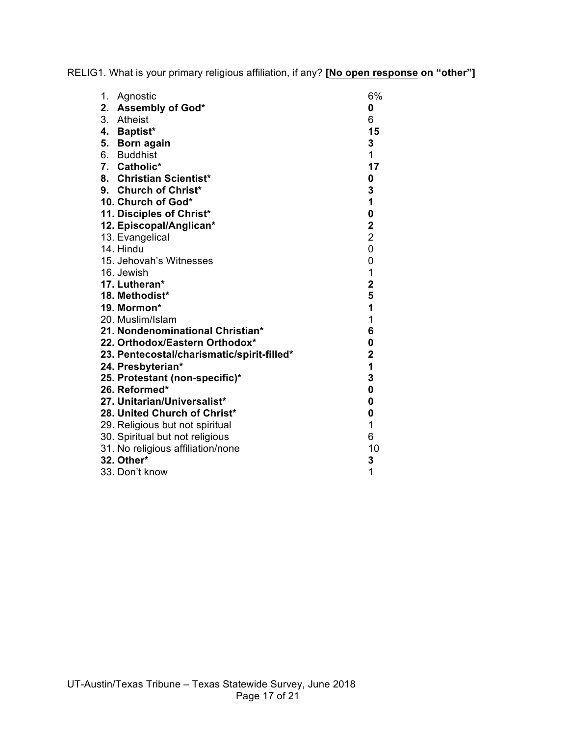RELIG1. What is your primary religious affiliation, if any? **[No open response on "other"]**

| 1.<br>Agnostic                             | 6%                      |
|--------------------------------------------|-------------------------|
| 2. Assembly of God*                        | 0                       |
| 3. Atheist                                 | 6                       |
| 4. Baptist*                                | 15                      |
| 5. Born again                              | 3                       |
| 6. Buddhist                                | 1                       |
| 7. Catholic*                               | 17                      |
| 8. Christian Scientist*                    | 0                       |
| 9. Church of Christ*                       | 3                       |
| 10. Church of God*                         | 1                       |
| 11. Disciples of Christ*                   | 0                       |
| 12. Episcopal/Anglican*                    | $\overline{\mathbf{2}}$ |
| 13. Evangelical                            | $\overline{2}$          |
| 14. Hindu                                  | 0                       |
| 15. Jehovah's Witnesses                    | 0                       |
| 16. Jewish                                 | $\mathbf{1}$            |
| 17. Lutheran*                              | $\overline{\mathbf{2}}$ |
| 18. Methodist*                             | 5                       |
| 19. Mormon*                                | 1                       |
| 20. Muslim/Islam                           | 1                       |
| 21. Nondenominational Christian*           | 6                       |
| 22. Orthodox/Eastern Orthodox*             | 0                       |
| 23. Pentecostal/charismatic/spirit-filled* | $\overline{\mathbf{2}}$ |
| 24. Presbyterian*                          | 1                       |
| 25. Protestant (non-specific)*             | 3                       |
| 26. Reformed*                              | $\mathbf 0$             |
| 27. Unitarian/Universalist*                | 0                       |
| 28. United Church of Christ*               | 0                       |
| 29. Religious but not spiritual            | 1                       |
| 30. Spiritual but not religious            | 6                       |
| 31. No religious affiliation/none          | 10                      |
| 32. Other*                                 | 3                       |
| 33. Don't know                             | 1                       |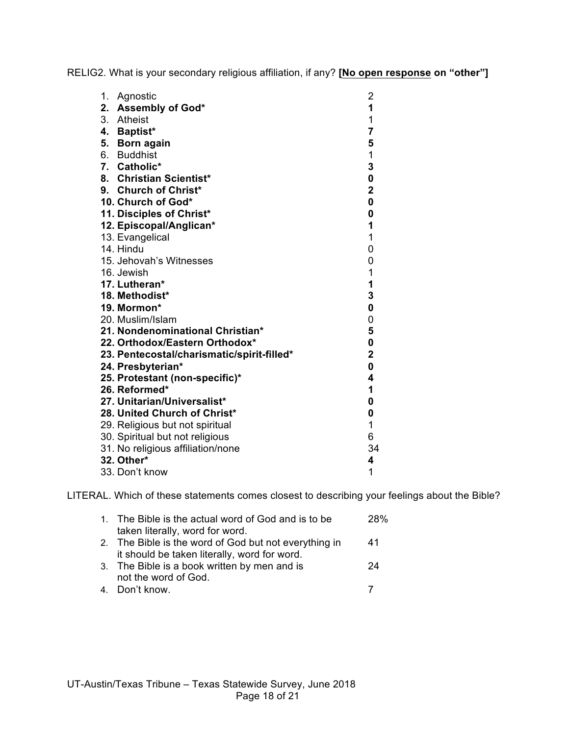RELIG2. What is your secondary religious affiliation, if any? **[No open response on "other"]**

| 1. | Agnostic                                   | $\overline{c}$          |
|----|--------------------------------------------|-------------------------|
| 2. | <b>Assembly of God*</b>                    | $\overline{\mathbf{1}}$ |
|    | 3. Atheist                                 | 1                       |
|    | 4. Baptist*                                | $\overline{\mathbf{7}}$ |
| 5. | <b>Born again</b>                          | 5                       |
|    | 6. Buddhist                                | $\mathbf 1$             |
|    | 7. Catholic*                               | 3                       |
|    | 8. Christian Scientist*                    | 0                       |
|    | 9. Church of Christ*                       | $\overline{\mathbf{2}}$ |
|    | 10. Church of God*                         | $\mathbf 0$             |
|    | 11. Disciples of Christ*                   | $\mathbf 0$             |
|    | 12. Episcopal/Anglican*                    | 1                       |
|    | 13. Evangelical                            | $\overline{1}$          |
|    | 14. Hindu                                  | 0                       |
|    | 15. Jehovah's Witnesses                    | 0                       |
|    | 16. Jewish                                 | $\mathbf 1$             |
|    | 17. Lutheran*                              | $\mathbf 1$             |
|    | 18. Methodist*                             | 3                       |
|    | 19. Mormon*                                | 0                       |
|    | 20. Muslim/Islam                           | 0                       |
|    | 21. Nondenominational Christian*           | 5                       |
|    | 22. Orthodox/Eastern Orthodox*             | 0                       |
|    | 23. Pentecostal/charismatic/spirit-filled* | $\overline{\mathbf{2}}$ |
|    | 24. Presbyterian*                          | $\mathbf 0$             |
|    | 25. Protestant (non-specific)*             | 4                       |
|    | 26. Reformed*                              | 1                       |
|    | 27. Unitarian/Universalist*                | 0                       |
|    | 28. United Church of Christ*               | 0                       |
|    | 29. Religious but not spiritual            | 1                       |
|    | 30. Spiritual but not religious            | 6                       |
|    | 31. No religious affiliation/none          | 34                      |
|    | 32. Other*                                 | 4                       |
|    | 33. Don't know                             | 1                       |

LITERAL. Which of these statements comes closest to describing your feelings about the Bible?

| 1. The Bible is the actual word of God and is to be   | 28% |
|-------------------------------------------------------|-----|
| taken literally, word for word.                       |     |
| 2. The Bible is the word of God but not everything in | 41  |
| it should be taken literally, word for word.          |     |
| 3. The Bible is a book written by men and is          | 24  |
| not the word of God.                                  |     |
| 4. Don't know.                                        |     |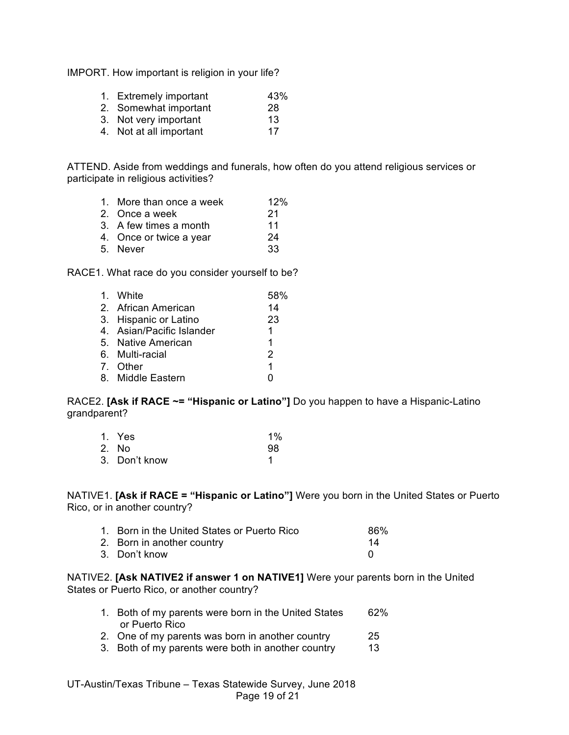IMPORT. How important is religion in your life?

- 1. Extremely important 43%
- 2. Somewhat important 28
- 3. Not very important 13
- 4. Not at all important 17

ATTEND. Aside from weddings and funerals, how often do you attend religious services or participate in religious activities?

- 1. More than once a week 12%
- 2. Once a week 21
- 3. A few times a month 11
- 4. Once or twice a year 24
- 5. Never 33

RACE1. What race do you consider yourself to be?

| 1. White                  | 58%           |
|---------------------------|---------------|
| 2. African American       | 14            |
| 3. Hispanic or Latino     | 23            |
| 4. Asian/Pacific Islander | 1.            |
| 5. Native American        | 1             |
| 6. Multi-racial           | $\mathcal{P}$ |
| 7. Other                  | 1             |
| 8. Middle Eastern         |               |

RACE2. **[Ask if RACE ~= "Hispanic or Latino"]** Do you happen to have a Hispanic-Latino grandparent?

| 1. Yes        | $1\%$ |
|---------------|-------|
| 2. No         | 98    |
| 3. Don't know |       |

NATIVE1. **[Ask if RACE = "Hispanic or Latino"]** Were you born in the United States or Puerto Rico, or in another country?

| 1. Born in the United States or Puerto Rico | 86% |
|---------------------------------------------|-----|
| 2. Born in another country                  | 14  |
| 3. Don't know                               |     |

NATIVE2. **[Ask NATIVE2 if answer 1 on NATIVE1]** Were your parents born in the United States or Puerto Rico, or another country?

- 1. Both of my parents were born in the United States 62% or Puerto Rico
- 2. One of my parents was born in another country 25
- 3. Both of my parents were both in another country 13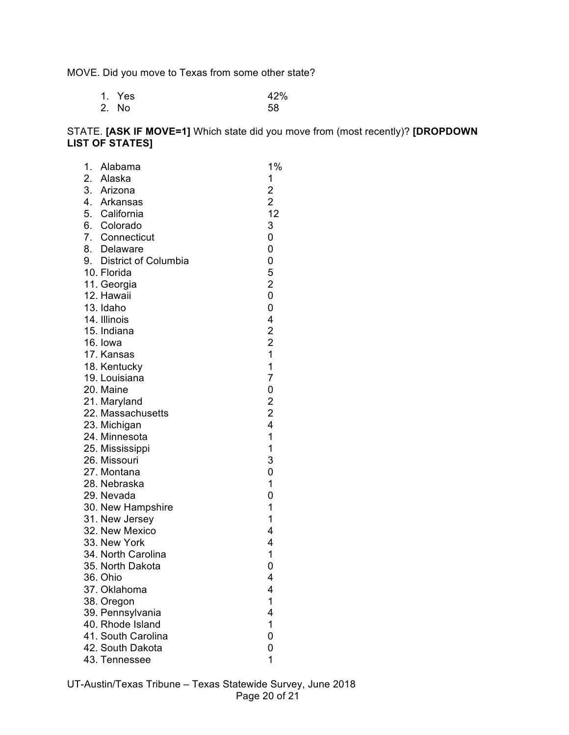MOVE. Did you move to Texas from some other state?

| 1. Yes | 42% |
|--------|-----|
| 2. No  | 58  |

# STATE. **[ASK IF MOVE=1]** Which state did you move from (most recently)? **[DROPDOWN LIST OF STATES]**

| 1. | Alabama                           | 1%                                         |
|----|-----------------------------------|--------------------------------------------|
|    |                                   | 1                                          |
|    | 2. Alaska<br>3. Arizona           | 2<br>2<br>12                               |
|    | 4. Arkansas                       |                                            |
|    | 5. California                     |                                            |
|    | 6. Colorado                       | 3                                          |
|    | 7. Connecticut                    | 0                                          |
|    | 8. Delaware                       | 0                                          |
|    | 9. District of Columbia           | 0                                          |
|    | 10. Florida                       | 5                                          |
|    | 11. Georgia                       | $\overline{\mathbf{c}}$                    |
|    | 12. Hawaii                        | 0                                          |
|    | 13. Idaho                         | 0                                          |
|    | 14. Illinois                      | 4                                          |
|    | 15. Indiana                       |                                            |
|    | 16. Iowa                          | $\begin{array}{c} 2 \\ 2 \\ 1 \end{array}$ |
|    | 17. Kansas                        |                                            |
|    | 18. Kentucky                      | $\mathbf{1}$<br>$\overline{7}$             |
|    | 19. Louisiana                     |                                            |
|    | 20. Maine                         | $\mathbf 0$                                |
|    | 21. Maryland<br>22. Massachusetts | $\begin{array}{c} 2 \\ 2 \\ 4 \end{array}$ |
|    |                                   |                                            |
|    | 23. Michigan<br>24. Minnesota     | $\overline{1}$                             |
|    | 25. Mississippi                   | $\mathbf 1$                                |
|    | 26. Missouri                      | 3                                          |
|    | 27. Montana                       | 0                                          |
|    | 28. Nebraska                      | 1                                          |
|    | 29. Nevada                        | 0                                          |
|    | 30. New Hampshire                 | $\mathbf 1$                                |
|    | 31. New Jersey                    | 1                                          |
|    | 32. New Mexico                    | 4                                          |
|    | 33. New York                      | 4                                          |
|    | 34. North Carolina                | 1                                          |
|    | 35. North Dakota                  | 0                                          |
|    | 36. Ohio                          | 4                                          |
|    | 37. Oklahoma                      | 4                                          |
|    | 38. Oregon                        | 1                                          |
|    | 39. Pennsylvania                  | 4                                          |
|    | 40. Rhode Island                  | 1                                          |
|    | 41. South Carolina                | 0                                          |
|    | 42. South Dakota                  | 0                                          |
|    | 43. Tennessee                     | 1                                          |